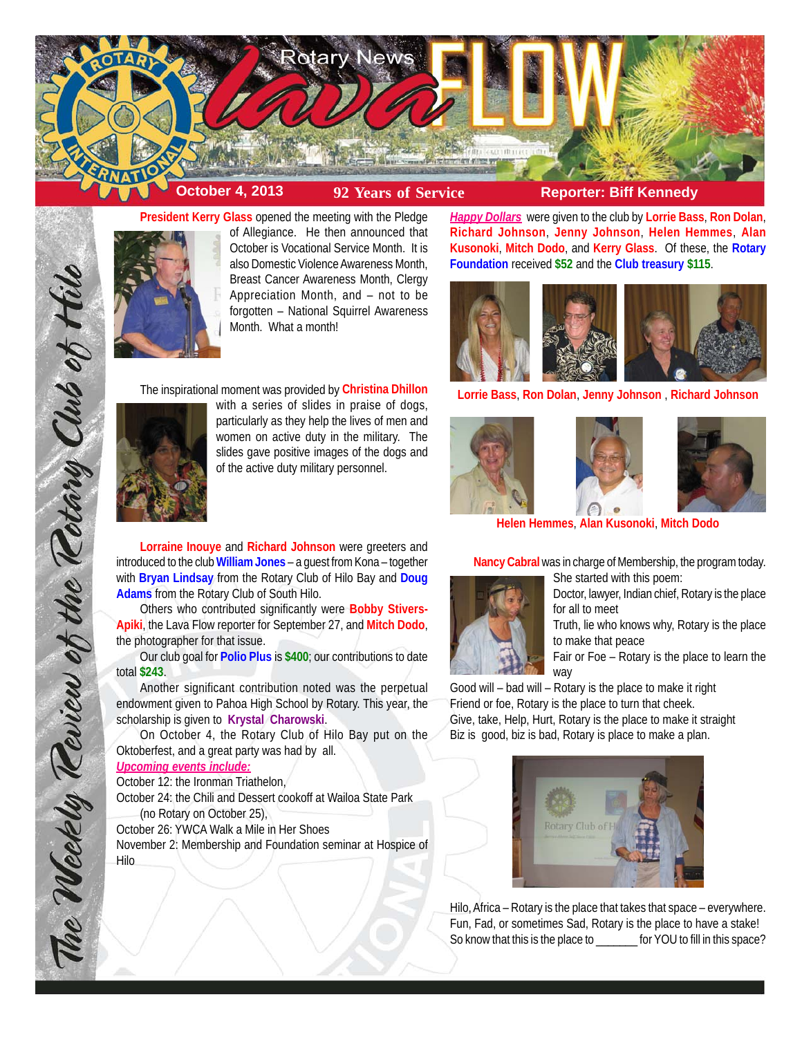



**President Kerry Glass** opened the meeting with the Pledge of Allegiance. He then announced that October is Vocational Service Month. It is also Domestic Violence Awareness Month, Breast Cancer Awareness Month, Clergy Appreciation Month, and – not to be forgotten – National Squirrel Awareness Month. What a month!

The inspirational moment was provided by **Christina Dhillon**



The Weekly Review of the Rotary Club of Hill

with a series of slides in praise of dogs, particularly as they help the lives of men and women on active duty in the military. The slides gave positive images of the dogs and of the active duty military personnel.

**Lorraine Inouye** and **Richard Johnson** were greeters and introduced to the club **William Jones** – a guest from Kona – together with **Bryan Lindsay** from the Rotary Club of Hilo Bay and **Doug Adams** from the Rotary Club of South Hilo.

Others who contributed significantly were **Bobby Stivers-Apiki**, the Lava Flow reporter for September 27, and **Mitch Dodo**, the photographer for that issue.

Our club goal for **Polio Plus** is **\$400**; our contributions to date total **\$243**.

Another significant contribution noted was the perpetual endowment given to Pahoa High School by Rotary. This year, the scholarship is given to **Krystal Charowski**.

On October 4, the Rotary Club of Hilo Bay put on the Oktoberfest, and a great party was had by all.

# *Upcoming events include:*

October 12: the Ironman Triathelon, October 24: the Chili and Dessert cookoff at Wailoa State Park

(no Rotary on October 25), October 26: YWCA Walk a Mile in Her Shoes November 2: Membership and Foundation seminar at Hospice of Hilo

*Happy Dollars* were given to the club by **Lorrie Bass**, **Ron Dolan**, **Richard Johnson**, **Jenny Johnson**, **Helen Hemmes**, **Alan Kusonoki**, **Mitch Dodo**, and **Kerry Glass**. Of these, the **Rotary Foundation** received **\$52** and the **Club treasury \$115**.



**Lorrie Bass**, **Ron Dolan**, **Jenny Johnson** , **Richard Johnson**







**Helen Hemmes**, **Alan Kusonoki**, **Mitch Dodo**

**Nancy Cabral** was in charge of Membership, the program today. She started with this poem:



Doctor, lawyer, Indian chief, Rotary is the place for all to meet

Truth, lie who knows why, Rotary is the place to make that peace

Fair or Foe – Rotary is the place to learn the way

Good will – bad will – Rotary is the place to make it right Friend or foe, Rotary is the place to turn that cheek. Give, take, Help, Hurt, Rotary is the place to make it straight Biz is good, biz is bad, Rotary is place to make a plan.



Hilo, Africa – Rotary is the place that takes that space – everywhere. Fun, Fad, or sometimes Sad, Rotary is the place to have a stake! So know that this is the place to \_\_\_\_\_\_\_ for YOU to fill in this space?